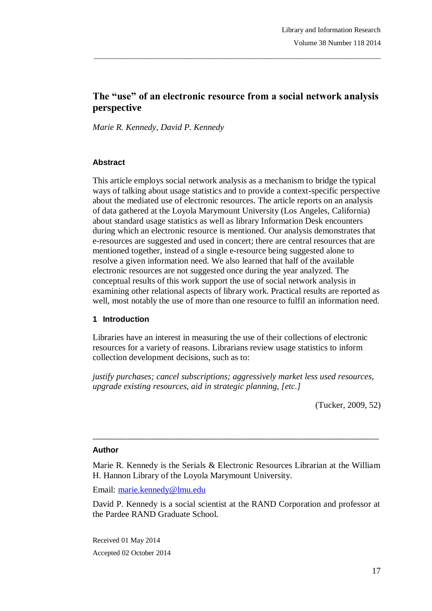# **The "use" of an electronic resource from a social network analysis perspective**

\_\_\_\_\_\_\_\_\_\_\_\_\_\_\_\_\_\_\_\_\_\_\_\_\_\_\_\_\_\_\_\_\_\_\_\_\_\_\_\_\_\_\_\_\_\_\_\_\_\_\_\_\_\_\_\_\_\_\_\_\_\_\_\_\_\_\_\_\_\_\_\_\_\_\_\_\_\_\_

*Marie R. Kennedy, David P. Kennedy*

#### **Abstract**

This article employs social network analysis as a mechanism to bridge the typical ways of talking about usage statistics and to provide a context-specific perspective about the mediated use of electronic resources. The article reports on an analysis of data gathered at the Loyola Marymount University (Los Angeles, California) about standard usage statistics as well as library Information Desk encounters during which an electronic resource is mentioned. Our analysis demonstrates that e-resources are suggested and used in concert; there are central resources that are mentioned together, instead of a single e-resource being suggested alone to resolve a given information need. We also learned that half of the available electronic resources are not suggested once during the year analyzed. The conceptual results of this work support the use of social network analysis in examining other relational aspects of library work. Practical results are reported as well, most notably the use of more than one resource to fulfil an information need.

### **1 Introduction**

Libraries have an interest in measuring the use of their collections of electronic resources for a variety of reasons. Librarians review usage statistics to inform collection development decisions, such as to:

*justify purchases; cancel subscriptions; aggressively market less used resources, upgrade existing resources, aid in strategic planning, [etc.]*

(Tucker, 2009, 52)

#### **Author**

Marie R. Kennedy is the Serials & Electronic Resources Librarian at the William H. Hannon Library of the Loyola Marymount University.

 $\_$  ,  $\_$  ,  $\_$  ,  $\_$  ,  $\_$  ,  $\_$  ,  $\_$  ,  $\_$  ,  $\_$  ,  $\_$  ,  $\_$  ,  $\_$  ,  $\_$  ,  $\_$  ,  $\_$  ,  $\_$  ,  $\_$  ,  $\_$  ,  $\_$ 

Email: marie.kennedy@lmu.edu

David P. Kennedy is a social scientist at the RAND Corporation and professor at the Pardee RAND Graduate School.

Received 01 May 2014 Accepted 02 October 2014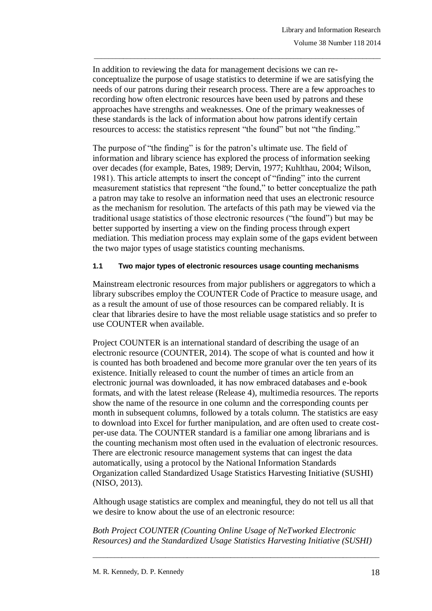In addition to reviewing the data for management decisions we can reconceptualize the purpose of usage statistics to determine if we are satisfying the needs of our patrons during their research process. There are a few approaches to recording how often electronic resources have been used by patrons and these approaches have strengths and weaknesses. One of the primary weaknesses of these standards is the lack of information about how patrons identify certain resources to access: the statistics represent "the found" but not "the finding."

\_\_\_\_\_\_\_\_\_\_\_\_\_\_\_\_\_\_\_\_\_\_\_\_\_\_\_\_\_\_\_\_\_\_\_\_\_\_\_\_\_\_\_\_\_\_\_\_\_\_\_\_\_\_\_\_\_\_\_\_\_\_\_\_\_\_\_\_\_\_\_\_\_\_\_\_\_\_\_

The purpose of "the finding" is for the patron's ultimate use. The field of information and library science has explored the process of information seeking over decades (for example, Bates, 1989; Dervin, 1977; Kuhlthau, 2004; Wilson, 1981). This article attempts to insert the concept of "finding" into the current measurement statistics that represent "the found," to better conceptualize the path a patron may take to resolve an information need that uses an electronic resource as the mechanism for resolution. The artefacts of this path may be viewed via the traditional usage statistics of those electronic resources ("the found") but may be better supported by inserting a view on the finding process through expert mediation. This mediation process may explain some of the gaps evident between the two major types of usage statistics counting mechanisms.

#### **1.1 Two major types of electronic resources usage counting mechanisms**

Mainstream electronic resources from major publishers or aggregators to which a library subscribes employ the COUNTER Code of Practice to measure usage, and as a result the amount of use of those resources can be compared reliably. It is clear that libraries desire to have the most reliable usage statistics and so prefer to use COUNTER when available.

Project COUNTER is an international standard of describing the usage of an electronic resource (COUNTER, 2014). The scope of what is counted and how it is counted has both broadened and become more granular over the ten years of its existence. Initially released to count the number of times an article from an electronic journal was downloaded, it has now embraced databases and e-book formats, and with the latest release (Release 4), multimedia resources. The reports show the name of the resource in one column and the corresponding counts per month in subsequent columns, followed by a totals column. The statistics are easy to download into Excel for further manipulation, and are often used to create costper-use data. The COUNTER standard is a familiar one among librarians and is the counting mechanism most often used in the evaluation of electronic resources. There are electronic resource management systems that can ingest the data automatically, using a protocol by the National Information Standards Organization called Standardized Usage Statistics Harvesting Initiative (SUSHI) (NISO, 2013).

Although usage statistics are complex and meaningful, they do not tell us all that we desire to know about the use of an electronic resource:

*Both Project COUNTER (Counting Online Usage of NeTworked Electronic Resources) and the Standardized Usage Statistics Harvesting Initiative (SUSHI)*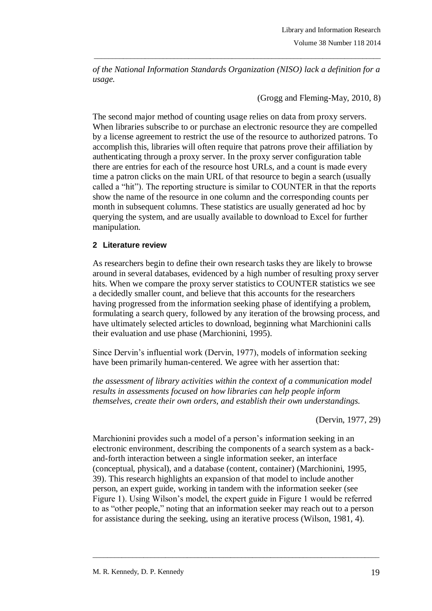*of the National Information Standards Organization (NISO) lack a definition for a usage.*

\_\_\_\_\_\_\_\_\_\_\_\_\_\_\_\_\_\_\_\_\_\_\_\_\_\_\_\_\_\_\_\_\_\_\_\_\_\_\_\_\_\_\_\_\_\_\_\_\_\_\_\_\_\_\_\_\_\_\_\_\_\_\_\_\_\_\_\_\_\_\_\_\_\_\_\_\_\_\_

(Grogg and Fleming-May, 2010, 8)

The second major method of counting usage relies on data from proxy servers. When libraries subscribe to or purchase an electronic resource they are compelled by a license agreement to restrict the use of the resource to authorized patrons. To accomplish this, libraries will often require that patrons prove their affiliation by authenticating through a proxy server. In the proxy server configuration table there are entries for each of the resource host URLs, and a count is made every time a patron clicks on the main URL of that resource to begin a search (usually called a "hit"). The reporting structure is similar to COUNTER in that the reports show the name of the resource in one column and the corresponding counts per month in subsequent columns. These statistics are usually generated ad hoc by querying the system, and are usually available to download to Excel for further manipulation.

### **2 Literature review**

As researchers begin to define their own research tasks they are likely to browse around in several databases, evidenced by a high number of resulting proxy server hits. When we compare the proxy server statistics to COUNTER statistics we see a decidedly smaller count, and believe that this accounts for the researchers having progressed from the information seeking phase of identifying a problem, formulating a search query, followed by any iteration of the browsing process, and have ultimately selected articles to download, beginning what Marchionini calls their evaluation and use phase (Marchionini, 1995).

Since Dervin's influential work (Dervin, 1977), models of information seeking have been primarily human-centered. We agree with her assertion that:

*the assessment of library activities within the context of a communication model results in assessments focused on how libraries can help people inform themselves, create their own orders, and establish their own understandings.* 

(Dervin, 1977, 29)

Marchionini provides such a model of a person's information seeking in an electronic environment, describing the components of a search system as a backand-forth interaction between a single information seeker, an interface (conceptual, physical), and a database (content, container) (Marchionini, 1995, 39). This research highlights an expansion of that model to include another person, an expert guide, working in tandem with the information seeker (see Figure 1). Using Wilson's model, the expert guide in Figure 1 would be referred to as "other people," noting that an information seeker may reach out to a person for assistance during the seeking, using an iterative process (Wilson, 1981, 4).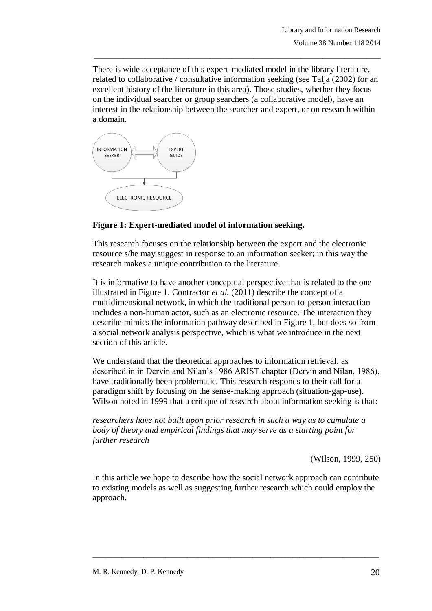There is wide acceptance of this expert-mediated model in the library literature, related to collaborative / consultative information seeking (see Talja (2002) for an excellent history of the literature in this area). Those studies, whether they focus on the individual searcher or group searchers (a collaborative model), have an interest in the relationship between the searcher and expert, or on research within a domain.

\_\_\_\_\_\_\_\_\_\_\_\_\_\_\_\_\_\_\_\_\_\_\_\_\_\_\_\_\_\_\_\_\_\_\_\_\_\_\_\_\_\_\_\_\_\_\_\_\_\_\_\_\_\_\_\_\_\_\_\_\_\_\_\_\_\_\_\_\_\_\_\_\_\_\_\_\_\_\_



### **Figure 1: Expert-mediated model of information seeking.**

This research focuses on the relationship between the expert and the electronic resource s/he may suggest in response to an information seeker; in this way the research makes a unique contribution to the literature.

It is informative to have another conceptual perspective that is related to the one illustrated in Figure 1. Contractor *et al.* (2011) describe the concept of a multidimensional network, in which the traditional person-to-person interaction includes a non-human actor, such as an electronic resource. The interaction they describe mimics the information pathway described in Figure 1, but does so from a social network analysis perspective, which is what we introduce in the next section of this article.

We understand that the theoretical approaches to information retrieval, as described in in Dervin and Nilan's 1986 ARIST chapter (Dervin and Nilan, 1986), have traditionally been problematic. This research responds to their call for a paradigm shift by focusing on the sense-making approach (situation-gap-use). Wilson noted in 1999 that a critique of research about information seeking is that:

*researchers have not built upon prior research in such a way as to cumulate a body of theory and empirical findings that may serve as a starting point for further research*

(Wilson, 1999, 250)

In this article we hope to describe how the social network approach can contribute to existing models as well as suggesting further research which could employ the approach.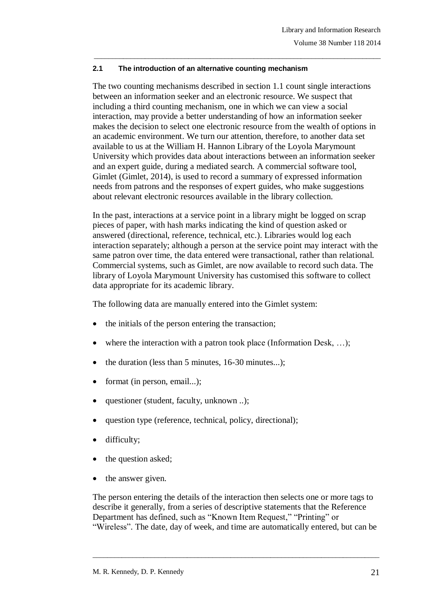### **2.1 The introduction of an alternative counting mechanism**

The two counting mechanisms described in section 1.1 count single interactions between an information seeker and an electronic resource. We suspect that including a third counting mechanism, one in which we can view a social interaction, may provide a better understanding of how an information seeker makes the decision to select one electronic resource from the wealth of options in an academic environment. We turn our attention, therefore, to another data set available to us at the William H. Hannon Library of the Loyola Marymount University which provides data about interactions between an information seeker and an expert guide, during a mediated search. A commercial software tool, Gimlet (Gimlet, 2014), is used to record a summary of expressed information needs from patrons and the responses of expert guides, who make suggestions about relevant electronic resources available in the library collection.

\_\_\_\_\_\_\_\_\_\_\_\_\_\_\_\_\_\_\_\_\_\_\_\_\_\_\_\_\_\_\_\_\_\_\_\_\_\_\_\_\_\_\_\_\_\_\_\_\_\_\_\_\_\_\_\_\_\_\_\_\_\_\_\_\_\_\_\_\_\_\_\_\_\_\_\_\_\_\_

In the past, interactions at a service point in a library might be logged on scrap pieces of paper, with hash marks indicating the kind of question asked or answered (directional, reference, technical, etc.). Libraries would log each interaction separately; although a person at the service point may interact with the same patron over time, the data entered were transactional, rather than relational. Commercial systems, such as Gimlet, are now available to record such data. The library of Loyola Marymount University has customised this software to collect data appropriate for its academic library.

The following data are manually entered into the Gimlet system:

- the initials of the person entering the transaction;
- where the interaction with a patron took place (Information Desk, ...);
- the duration (less than 5 minutes, 16-30 minutes...);
- format (in person, email...);
- questioner (student, faculty, unknown ..);
- question type (reference, technical, policy, directional);
- difficulty;
- the question asked;
- the answer given.

The person entering the details of the interaction then selects one or more tags to describe it generally, from a series of descriptive statements that the Reference Department has defined, such as "Known Item Request," "Printing" or "Wireless". The date, day of week, and time are automatically entered, but can be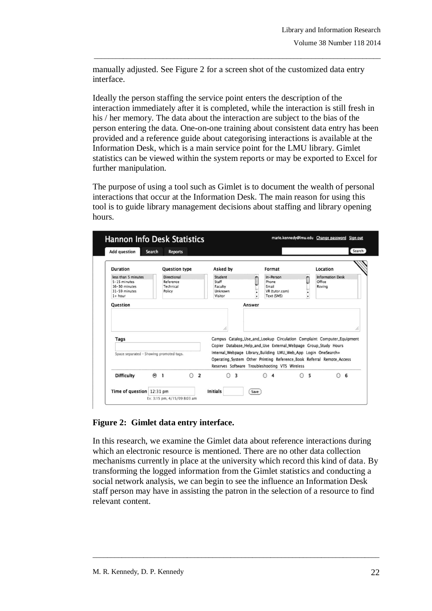manually adjusted. See Figure 2 for a screen shot of the customized data entry interface.

\_\_\_\_\_\_\_\_\_\_\_\_\_\_\_\_\_\_\_\_\_\_\_\_\_\_\_\_\_\_\_\_\_\_\_\_\_\_\_\_\_\_\_\_\_\_\_\_\_\_\_\_\_\_\_\_\_\_\_\_\_\_\_\_\_\_\_\_\_\_\_\_\_\_\_\_\_\_\_

Ideally the person staffing the service point enters the description of the interaction immediately after it is completed, while the interaction is still fresh in his / her memory. The data about the interaction are subject to the bias of the person entering the data. One-on-one training about consistent data entry has been provided and a reference guide about categorising interactions is available at the Information Desk, which is a main service point for the LMU library. Gimlet statistics can be viewed within the system reports or may be exported to Excel for further manipulation.

The purpose of using a tool such as Gimlet is to document the wealth of personal interactions that occur at the Information Desk. The main reason for using this tool is to guide library management decisions about staffing and library opening hours.

| <b>Add question</b>                      | Search<br><b>Reports</b>                   |          |                                                                                                                  | Search                                                                                                                                          |
|------------------------------------------|--------------------------------------------|----------|------------------------------------------------------------------------------------------------------------------|-------------------------------------------------------------------------------------------------------------------------------------------------|
| <b>Duration</b>                          | <b>Question type</b>                       | Asked by | Format                                                                                                           | Location                                                                                                                                        |
| less than 5 minutes                      | <b>Directional</b>                         | Student  | In-Person                                                                                                        | <b>Information Desk</b>                                                                                                                         |
| 5-15 minutes                             | Reference                                  | Staff    | Phone                                                                                                            | Office                                                                                                                                          |
| 16-30 minutes                            | Technical                                  | Faculty  | Email                                                                                                            | Roving                                                                                                                                          |
| 31-59 minutes                            | Policy                                     | Unknown  | VR (tutor.com)                                                                                                   |                                                                                                                                                 |
| $1+ hour$                                |                                            | Visitor  | Text (SMS)                                                                                                       | $\cdot$                                                                                                                                         |
| <b>Question</b>                          |                                            | Answer   |                                                                                                                  |                                                                                                                                                 |
|                                          |                                            |          |                                                                                                                  |                                                                                                                                                 |
| Tags                                     |                                            | h,       |                                                                                                                  | h,<br>Campus Catalog_Use_and_Lookup Circulation Complaint Computer_Equipment<br>Copier Database_Help_and_Use External_Webpage Group_Study Hours |
| Space separated - Showing promoted tags. |                                            |          | Internal_Webpage Library_Building LMU_Web_App Login OneSearch+<br>Reserves Software Troubleshooting VTS Wireless | Operating_System Other Printing Reference_Book Referral Remote_Access                                                                           |
| <b>Difficulty</b>                        | $\Theta$ 1<br>$\bigcirc$<br>$\overline{2}$ | 3<br>∩   | $\bigcirc$ 4                                                                                                     | $\odot$<br>5<br>6                                                                                                                               |

**Figure 2: Gimlet data entry interface.**

In this research, we examine the Gimlet data about reference interactions during which an electronic resource is mentioned. There are no other data collection mechanisms currently in place at the university which record this kind of data. By transforming the logged information from the Gimlet statistics and conducting a social network analysis, we can begin to see the influence an Information Desk staff person may have in assisting the patron in the selection of a resource to find relevant content.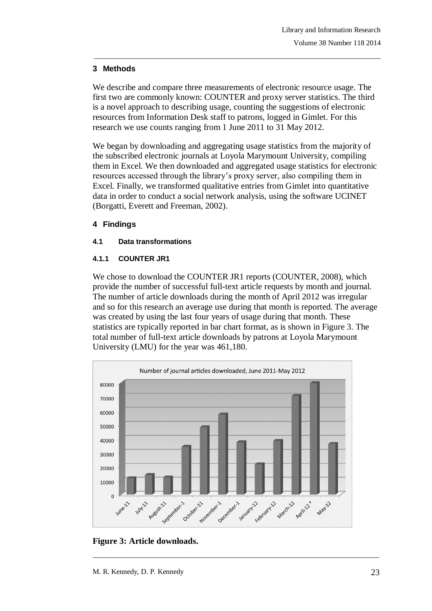# **3 Methods**

We describe and compare three measurements of electronic resource usage. The first two are commonly known: COUNTER and proxy server statistics. The third is a novel approach to describing usage, counting the suggestions of electronic resources from Information Desk staff to patrons, logged in Gimlet. For this research we use counts ranging from 1 June 2011 to 31 May 2012.

\_\_\_\_\_\_\_\_\_\_\_\_\_\_\_\_\_\_\_\_\_\_\_\_\_\_\_\_\_\_\_\_\_\_\_\_\_\_\_\_\_\_\_\_\_\_\_\_\_\_\_\_\_\_\_\_\_\_\_\_\_\_\_\_\_\_\_\_\_\_\_\_\_\_\_\_\_\_\_

We began by downloading and aggregating usage statistics from the majority of the subscribed electronic journals at Loyola Marymount University, compiling them in Excel. We then downloaded and aggregated usage statistics for electronic resources accessed through the library's proxy server, also compiling them in Excel. Finally, we transformed qualitative entries from Gimlet into quantitative data in order to conduct a social network analysis, using the software UCINET (Borgatti, Everett and Freeman, 2002).

# **4 Findings**

### **4.1 Data transformations**

### **4.1.1 COUNTER JR1**

We chose to download the COUNTER JR1 reports (COUNTER, 2008), which provide the number of successful full-text article requests by month and journal. The number of article downloads during the month of April 2012 was irregular and so for this research an average use during that month is reported. The average was created by using the last four years of usage during that month. These statistics are typically reported in bar chart format, as is shown in Figure 3. The total number of full-text article downloads by patrons at Loyola Marymount University (LMU) for the year was 461,180.



**Figure 3: Article downloads.**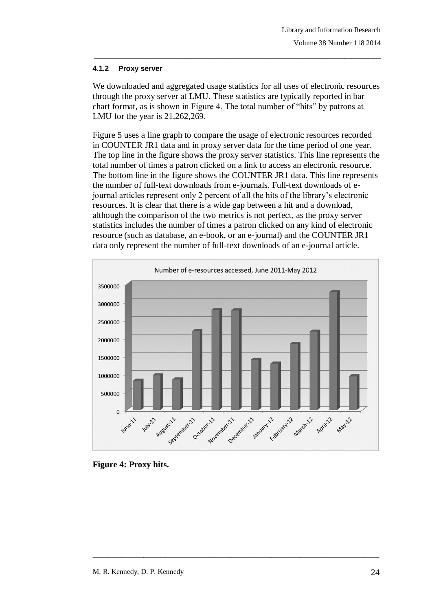#### **4.1.2 Proxy server**

We downloaded and aggregated usage statistics for all uses of electronic resources through the proxy server at LMU. These statistics are typically reported in bar chart format, as is shown in Figure 4. The total number of "hits" by patrons at LMU for the year is 21,262,269.

\_\_\_\_\_\_\_\_\_\_\_\_\_\_\_\_\_\_\_\_\_\_\_\_\_\_\_\_\_\_\_\_\_\_\_\_\_\_\_\_\_\_\_\_\_\_\_\_\_\_\_\_\_\_\_\_\_\_\_\_\_\_\_\_\_\_\_\_\_\_\_\_\_\_\_\_\_\_\_

Figure 5 uses a line graph to compare the usage of electronic resources recorded in COUNTER JR1 data and in proxy server data for the time period of one year. The top line in the figure shows the proxy server statistics. This line represents the total number of times a patron clicked on a link to access an electronic resource. The bottom line in the figure shows the COUNTER JR1 data. This line represents the number of full-text downloads from e-journals. Full-text downloads of ejournal articles represent only 2 percent of all the hits of the library's electronic resources. It is clear that there is a wide gap between a hit and a download, although the comparison of the two metrics is not perfect, as the proxy server statistics includes the number of times a patron clicked on any kind of electronic resource (such as database, an e-book, or an e-journal) and the COUNTER JR1 data only represent the number of full-text downloads of an e-journal article.



**Figure 4: Proxy hits.**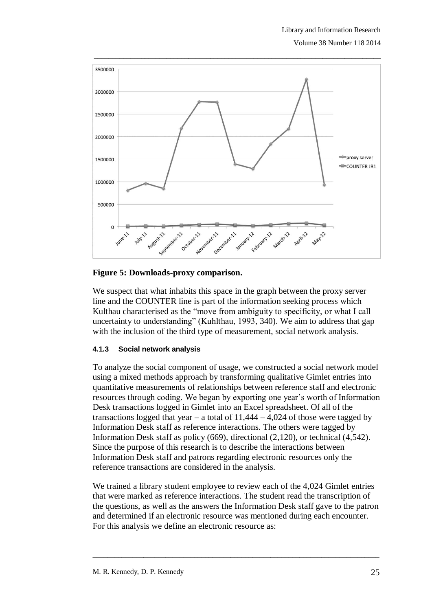

### **Figure 5: Downloads-proxy comparison.**

We suspect that what inhabits this space in the graph between the proxy server line and the COUNTER line is part of the information seeking process which Kulthau characterised as the "move from ambiguity to specificity, or what I call uncertainty to understanding" (Kuhlthau, 1993, 340). We aim to address that gap with the inclusion of the third type of measurement, social network analysis.

#### **4.1.3 Social network analysis**

To analyze the social component of usage, we constructed a social network model using a mixed methods approach by transforming qualitative Gimlet entries into quantitative measurements of relationships between reference staff and electronic resources through coding. We began by exporting one year's worth of Information Desk transactions logged in Gimlet into an Excel spreadsheet. Of all of the transactions logged that year – a total of  $11,444 - 4,024$  of those were tagged by Information Desk staff as reference interactions. The others were tagged by Information Desk staff as policy (669), directional (2,120), or technical (4,542). Since the purpose of this research is to describe the interactions between Information Desk staff and patrons regarding electronic resources only the reference transactions are considered in the analysis.

We trained a library student employee to review each of the 4,024 Gimlet entries that were marked as reference interactions. The student read the transcription of the questions, as well as the answers the Information Desk staff gave to the patron and determined if an electronic resource was mentioned during each encounter. For this analysis we define an electronic resource as: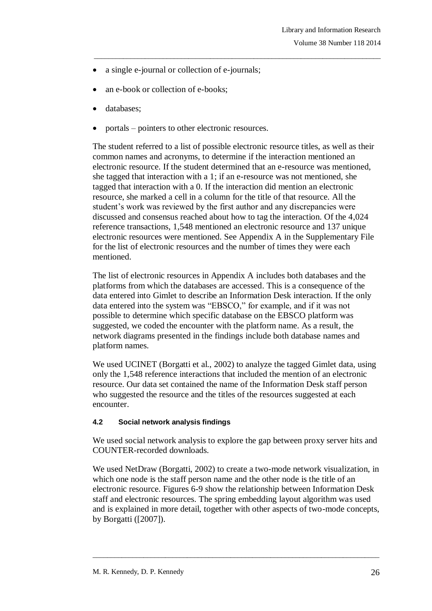- a single e-journal or collection of e-journals;
- an e-book or collection of e-books;
- databases;
- portals pointers to other electronic resources.

The student referred to a list of possible electronic resource titles, as well as their common names and acronyms, to determine if the interaction mentioned an electronic resource. If the student determined that an e-resource was mentioned, she tagged that interaction with a 1; if an e-resource was not mentioned, she tagged that interaction with a 0. If the interaction did mention an electronic resource, she marked a cell in a column for the title of that resource. All the student's work was reviewed by the first author and any discrepancies were discussed and consensus reached about how to tag the interaction. Of the 4,024 reference transactions, 1,548 mentioned an electronic resource and 137 unique electronic resources were mentioned. See Appendix A in the Supplementary File for the list of electronic resources and the number of times they were each mentioned.

\_\_\_\_\_\_\_\_\_\_\_\_\_\_\_\_\_\_\_\_\_\_\_\_\_\_\_\_\_\_\_\_\_\_\_\_\_\_\_\_\_\_\_\_\_\_\_\_\_\_\_\_\_\_\_\_\_\_\_\_\_\_\_\_\_\_\_\_\_\_\_\_\_\_\_\_\_\_\_

The list of electronic resources in Appendix A includes both databases and the platforms from which the databases are accessed. This is a consequence of the data entered into Gimlet to describe an Information Desk interaction. If the only data entered into the system was "EBSCO," for example, and if it was not possible to determine which specific database on the EBSCO platform was suggested, we coded the encounter with the platform name. As a result, the network diagrams presented in the findings include both database names and platform names.

We used UCINET (Borgatti et al., 2002) to analyze the tagged Gimlet data, using only the 1,548 reference interactions that included the mention of an electronic resource. Our data set contained the name of the Information Desk staff person who suggested the resource and the titles of the resources suggested at each encounter.

### **4.2 Social network analysis findings**

We used social network analysis to explore the gap between proxy server hits and COUNTER-recorded downloads.

We used NetDraw (Borgatti, 2002) to create a two-mode network visualization, in which one node is the staff person name and the other node is the title of an electronic resource. Figures 6-9 show the relationship between Information Desk staff and electronic resources. The spring embedding layout algorithm was used and is explained in more detail, together with other aspects of two-mode concepts, by Borgatti ([2007]).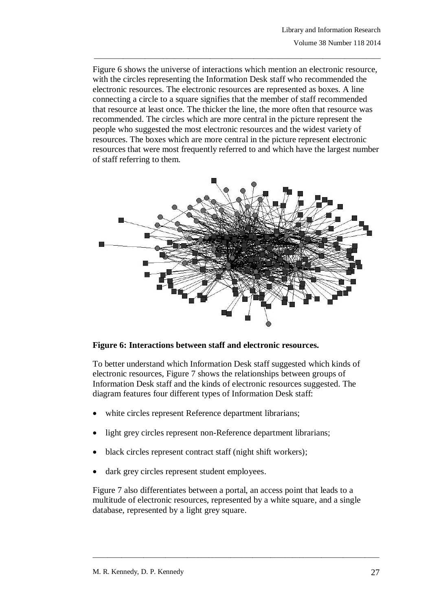Figure 6 shows the universe of interactions which mention an electronic resource, with the circles representing the Information Desk staff who recommended the electronic resources. The electronic resources are represented as boxes. A line connecting a circle to a square signifies that the member of staff recommended that resource at least once. The thicker the line, the more often that resource was recommended. The circles which are more central in the picture represent the people who suggested the most electronic resources and the widest variety of resources. The boxes which are more central in the picture represent electronic resources that were most frequently referred to and which have the largest number of staff referring to them.

\_\_\_\_\_\_\_\_\_\_\_\_\_\_\_\_\_\_\_\_\_\_\_\_\_\_\_\_\_\_\_\_\_\_\_\_\_\_\_\_\_\_\_\_\_\_\_\_\_\_\_\_\_\_\_\_\_\_\_\_\_\_\_\_\_\_\_\_\_\_\_\_\_\_\_\_\_\_\_



### **Figure 6: Interactions between staff and electronic resources.**

To better understand which Information Desk staff suggested which kinds of electronic resources, Figure 7 shows the relationships between groups of Information Desk staff and the kinds of electronic resources suggested. The diagram features four different types of Information Desk staff:

- white circles represent Reference department librarians;
- light grey circles represent non-Reference department librarians;
- black circles represent contract staff (night shift workers);
- dark grey circles represent student employees.

Figure 7 also differentiates between a portal, an access point that leads to a multitude of electronic resources, represented by a white square, and a single database, represented by a light grey square.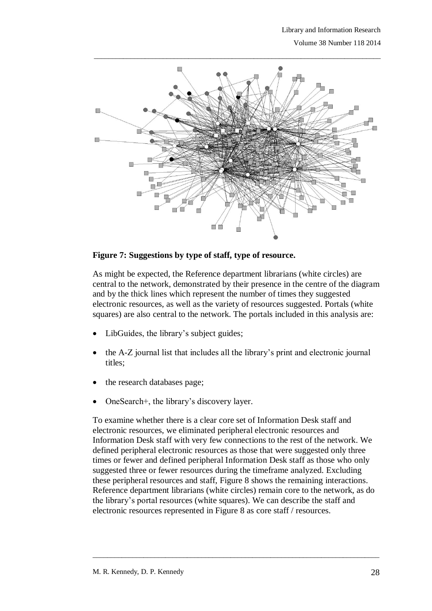

### **Figure 7: Suggestions by type of staff, type of resource.**

As might be expected, the Reference department librarians (white circles) are central to the network, demonstrated by their presence in the centre of the diagram and by the thick lines which represent the number of times they suggested electronic resources, as well as the variety of resources suggested. Portals (white squares) are also central to the network. The portals included in this analysis are:

- LibGuides, the library's subject guides;
- the A-Z journal list that includes all the library's print and electronic journal titles;
- the research databases page;
- OneSearch+, the library's discovery layer.

To examine whether there is a clear core set of Information Desk staff and electronic resources, we eliminated peripheral electronic resources and Information Desk staff with very few connections to the rest of the network. We defined peripheral electronic resources as those that were suggested only three times or fewer and defined peripheral Information Desk staff as those who only suggested three or fewer resources during the timeframe analyzed. Excluding these peripheral resources and staff, Figure 8 shows the remaining interactions. Reference department librarians (white circles) remain core to the network, as do the library's portal resources (white squares). We can describe the staff and electronic resources represented in Figure 8 as core staff / resources.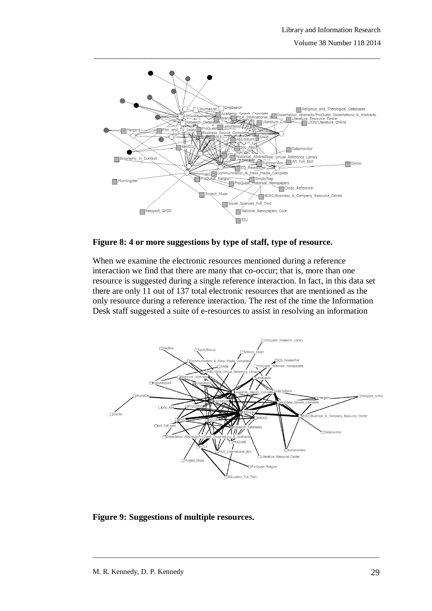Volume 38 Number 118 2014



**Figure 8: 4 or more suggestions by type of staff, type of resource.**

When we examine the electronic resources mentioned during a reference interaction we find that there are many that co-occur; that is, more than one resource is suggested during a single reference interaction. In fact, in this data set there are only 11 out of 137 total electronic resources that are mentioned as the only resource during a reference interaction. The rest of the time the Information Desk staff suggested a suite of e-resources to assist in resolving an information



**Figure 9: Suggestions of multiple resources.**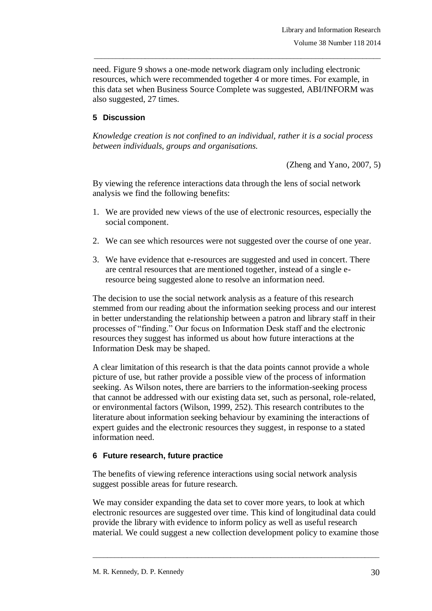need. Figure 9 shows a one-mode network diagram only including electronic resources, which were recommended together 4 or more times. For example, in this data set when Business Source Complete was suggested, ABI/INFORM was also suggested, 27 times.

\_\_\_\_\_\_\_\_\_\_\_\_\_\_\_\_\_\_\_\_\_\_\_\_\_\_\_\_\_\_\_\_\_\_\_\_\_\_\_\_\_\_\_\_\_\_\_\_\_\_\_\_\_\_\_\_\_\_\_\_\_\_\_\_\_\_\_\_\_\_\_\_\_\_\_\_\_\_\_

# **5 Discussion**

*Knowledge creation is not confined to an individual, rather it is a social process between individuals, groups and organisations.* 

(Zheng and Yano, 2007, 5)

By viewing the reference interactions data through the lens of social network analysis we find the following benefits:

- 1. We are provided new views of the use of electronic resources, especially the social component.
- 2. We can see which resources were not suggested over the course of one year.
- 3. We have evidence that e-resources are suggested and used in concert. There are central resources that are mentioned together, instead of a single eresource being suggested alone to resolve an information need.

The decision to use the social network analysis as a feature of this research stemmed from our reading about the information seeking process and our interest in better understanding the relationship between a patron and library staff in their processes of "finding." Our focus on Information Desk staff and the electronic resources they suggest has informed us about how future interactions at the Information Desk may be shaped.

A clear limitation of this research is that the data points cannot provide a whole picture of use, but rather provide a possible view of the process of information seeking. As Wilson notes, there are barriers to the information-seeking process that cannot be addressed with our existing data set, such as personal, role-related, or environmental factors (Wilson, 1999, 252). This research contributes to the literature about information seeking behaviour by examining the interactions of expert guides and the electronic resources they suggest, in response to a stated information need.

### **6 Future research, future practice**

The benefits of viewing reference interactions using social network analysis suggest possible areas for future research.

We may consider expanding the data set to cover more years, to look at which electronic resources are suggested over time. This kind of longitudinal data could provide the library with evidence to inform policy as well as useful research material. We could suggest a new collection development policy to examine those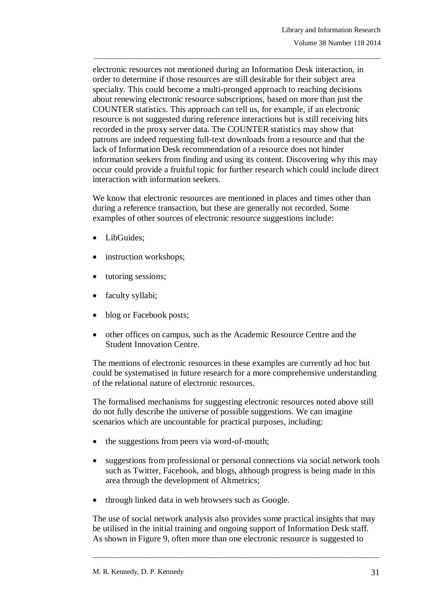electronic resources not mentioned during an Information Desk interaction, in order to determine if those resources are still desirable for their subject area specialty. This could become a multi-pronged approach to reaching decisions about renewing electronic resource subscriptions, based on more than just the COUNTER statistics. This approach can tell us, for example, if an electronic resource is not suggested during reference interactions but is still receiving hits recorded in the proxy server data. The COUNTER statistics may show that patrons are indeed requesting full-text downloads from a resource and that the lack of Information Desk recommendation of a resource does not hinder information seekers from finding and using its content. Discovering why this may occur could provide a fruitful topic for further research which could include direct interaction with information seekers.

\_\_\_\_\_\_\_\_\_\_\_\_\_\_\_\_\_\_\_\_\_\_\_\_\_\_\_\_\_\_\_\_\_\_\_\_\_\_\_\_\_\_\_\_\_\_\_\_\_\_\_\_\_\_\_\_\_\_\_\_\_\_\_\_\_\_\_\_\_\_\_\_\_\_\_\_\_\_\_

We know that electronic resources are mentioned in places and times other than during a reference transaction, but these are generally not recorded. Some examples of other sources of electronic resource suggestions include:

- LibGuides;
- instruction workshops;
- tutoring sessions;
- faculty syllabi;
- blog or Facebook posts;
- other offices on campus, such as the Academic Resource Centre and the Student Innovation Centre.

The mentions of electronic resources in these examples are currently ad hoc but could be systematised in future research for a more comprehensive understanding of the relational nature of electronic resources.

The formalised mechanisms for suggesting electronic resources noted above still do not fully describe the universe of possible suggestions. We can imagine scenarios which are uncountable for practical purposes, including:

- the suggestions from peers via word-of-mouth;
- suggestions from professional or personal connections via social network tools such as Twitter, Facebook, and blogs, although progress is being made in this area through the development of Altmetrics;
- through linked data in web browsers such as Google.

The use of social network analysis also provides some practical insights that may be utilised in the initial training and ongoing support of Information Desk staff. As shown in Figure 9, often more than one electronic resource is suggested to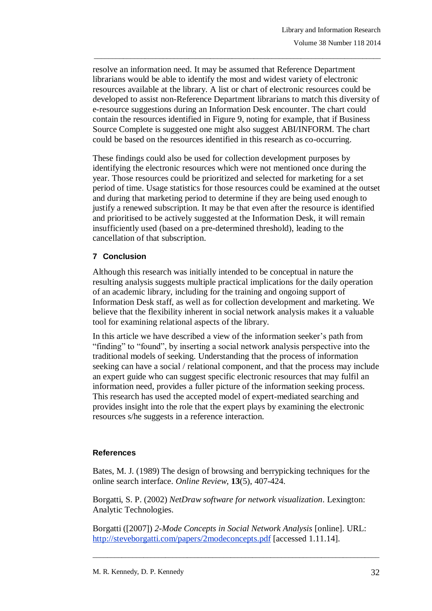resolve an information need. It may be assumed that Reference Department librarians would be able to identify the most and widest variety of electronic resources available at the library. A list or chart of electronic resources could be developed to assist non-Reference Department librarians to match this diversity of e-resource suggestions during an Information Desk encounter. The chart could contain the resources identified in Figure 9, noting for example, that if Business Source Complete is suggested one might also suggest ABI/INFORM. The chart could be based on the resources identified in this research as co-occurring.

\_\_\_\_\_\_\_\_\_\_\_\_\_\_\_\_\_\_\_\_\_\_\_\_\_\_\_\_\_\_\_\_\_\_\_\_\_\_\_\_\_\_\_\_\_\_\_\_\_\_\_\_\_\_\_\_\_\_\_\_\_\_\_\_\_\_\_\_\_\_\_\_\_\_\_\_\_\_\_

These findings could also be used for collection development purposes by identifying the electronic resources which were not mentioned once during the year. Those resources could be prioritized and selected for marketing for a set period of time. Usage statistics for those resources could be examined at the outset and during that marketing period to determine if they are being used enough to justify a renewed subscription. It may be that even after the resource is identified and prioritised to be actively suggested at the Information Desk, it will remain insufficiently used (based on a pre-determined threshold), leading to the cancellation of that subscription.

# **7 Conclusion**

Although this research was initially intended to be conceptual in nature the resulting analysis suggests multiple practical implications for the daily operation of an academic library, including for the training and ongoing support of Information Desk staff, as well as for collection development and marketing. We believe that the flexibility inherent in social network analysis makes it a valuable tool for examining relational aspects of the library.

In this article we have described a view of the information seeker's path from "finding" to "found", by inserting a social network analysis perspective into the traditional models of seeking. Understanding that the process of information seeking can have a social / relational component, and that the process may include an expert guide who can suggest specific electronic resources that may fulfil an information need, provides a fuller picture of the information seeking process. This research has used the accepted model of expert-mediated searching and provides insight into the role that the expert plays by examining the electronic resources s/he suggests in a reference interaction.

### **References**

Bates, M. J. (1989) The design of browsing and berrypicking techniques for the online search interface. *Online Review*, **13**(5), 407-424.

Borgatti, S. P. (2002) *NetDraw software for network visualization*. Lexington: Analytic Technologies.

Borgatti ([2007]) *2-Mode Concepts in Social Network Analysis* [online]. URL: http://steveborgatti.com/papers/2modeconcepts.pdf [accessed 1.11.14].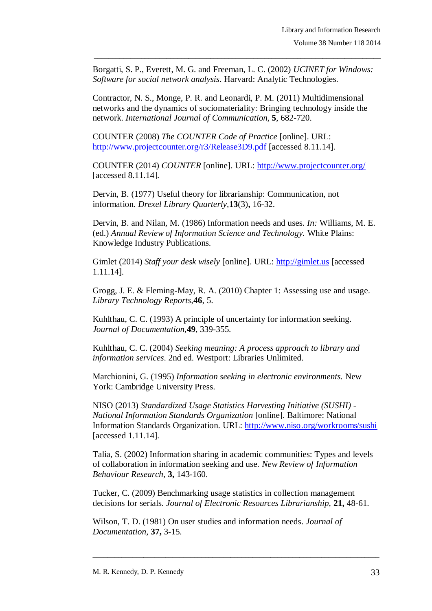Borgatti, S. P., Everett, M. G. and Freeman, L. C. (2002) *UCINET for Windows: Software for social network analysis*. Harvard: Analytic Technologies.

\_\_\_\_\_\_\_\_\_\_\_\_\_\_\_\_\_\_\_\_\_\_\_\_\_\_\_\_\_\_\_\_\_\_\_\_\_\_\_\_\_\_\_\_\_\_\_\_\_\_\_\_\_\_\_\_\_\_\_\_\_\_\_\_\_\_\_\_\_\_\_\_\_\_\_\_\_\_\_

Contractor, N. S., Monge, P. R. and Leonardi, P. M. (2011) Multidimensional networks and the dynamics of sociomateriality: Bringing technology inside the network. *International Journal of Communication,* **5**, 682-720.

COUNTER (2008) *The COUNTER Code of Practice* [online]. URL: <http://www.projectcounter.org/r3/Release3D9.pdf> [accessed 8.11.14].

COUNTER (2014) *COUNTER* [online]. URL:<http://www.projectcounter.org/> [accessed 8.11.14].

Dervin, B. (1977) Useful theory for librarianship: Communication, not information. *Drexel Library Quarterly,***13**(3)**,** 16-32.

Dervin, B. and Nilan, M. (1986) Information needs and uses. *In:* Williams, M. E. (ed.) *Annual Review of Information Science and Technology.* White Plains: Knowledge Industry Publications.

Gimlet (2014) *Staff your desk wisely* [online]. URL: [http://gimlet.us](http://gimlet.us/) [accessed 1.11.14].

Grogg, J. E. & Fleming-May, R. A. (2010) Chapter 1: Assessing use and usage. *Library Technology Reports,***46**, 5.

Kuhlthau, C. C. (1993) A principle of uncertainty for information seeking. *Journal of Documentation,***49**, 339-355.

Kuhlthau, C. C. (2004) *Seeking meaning: A process approach to library and information services*. 2nd ed. Westport: Libraries Unlimited.

Marchionini, G. (1995) *Information seeking in electronic environments.* New York: Cambridge University Press.

NISO (2013) *Standardized Usage Statistics Harvesting Initiative (SUSHI) - National Information Standards Organization* [online]. Baltimore: National Information Standards Organization. URL:<http://www.niso.org/workrooms/sushi> [accessed 1.11.14].

Talia, S. (2002) Information sharing in academic communities: Types and levels of collaboration in information seeking and use. *New Review of Information Behaviour Research,* **3,** 143-160.

Tucker, C. (2009) Benchmarking usage statistics in collection management decisions for serials. *Journal of Electronic Resources Librarianship,* **21,** 48-61.

\_\_\_\_\_\_\_\_\_\_\_\_\_\_\_\_\_\_\_\_\_\_\_\_\_\_\_\_\_\_\_\_\_\_\_\_\_\_\_\_\_\_\_\_\_\_\_\_\_\_\_\_\_\_\_\_\_\_\_\_\_\_\_\_\_\_\_\_\_\_\_\_\_\_\_\_\_\_\_

Wilson, T. D. (1981) On user studies and information needs. *Journal of Documentation,* **37,** 3-15.